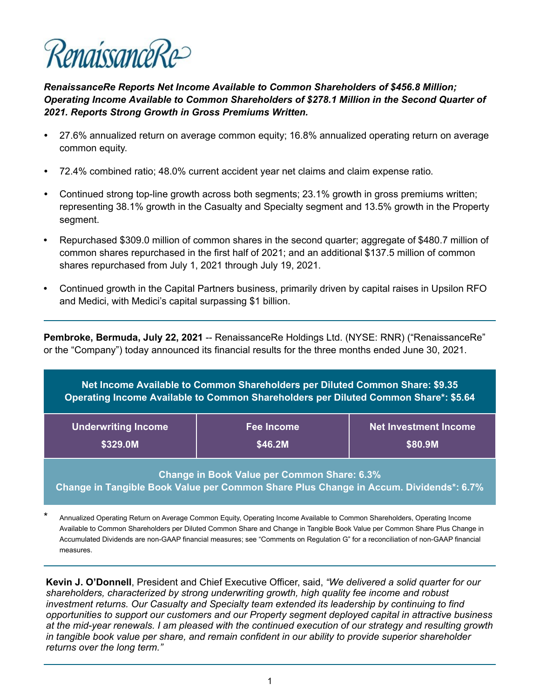

*RenaissanceRe Reports Net Income Available to Common Shareholders of \$456.8 Million; Operating Income Available to Common Shareholders of \$278.1 Million in the Second Quarter of 2021. Reports Strong Growth in Gross Premiums Written.* 

- *•* 27.6% annualized return on average common equity; 16.8% annualized operating return on average common equity.
- *•* 72.4% combined ratio; 48.0% current accident year net claims and claim expense ratio.
- *•* Continued strong top-line growth across both segments; 23.1% growth in gross premiums written; representing 38.1% growth in the Casualty and Specialty segment and 13.5% growth in the Property segment.
- **•** Repurchased \$309.0 million of common shares in the second quarter; aggregate of \$480.7 million of common shares repurchased in the first half of 2021; and an additional \$137.5 million of common shares repurchased from July 1, 2021 through July 19, 2021.
- **•** Continued growth in the Capital Partners business, primarily driven by capital raises in Upsilon RFO and Medici, with Medici's capital surpassing \$1 billion.

**Pembroke, Bermuda, July 22, 2021** -- RenaissanceRe Holdings Ltd. (NYSE: RNR) ("RenaissanceRe" or the "Company") today announced its financial results for the three months ended June 30, 2021.

**Net Income Available to Common Shareholders per Diluted Common Share: \$9.35 Operating Income Available to Common Shareholders per Diluted Common Share\*: \$5.64**

| <b>Underwriting Income</b> | Fee Income | <b>Net Investment Income</b> |
|----------------------------|------------|------------------------------|
| \$329.0M                   | \$46.2M    | \$80.9M                      |

**Change in Book Value per Common Share: 6.3% Change in Tangible Book Value per Common Share Plus Change in Accum. Dividends\*: 6.7%**

**Kevin J. O'Donnell**, President and Chief Executive Officer, said, *"We delivered a solid quarter for our shareholders, characterized by strong underwriting growth, high quality fee income and robust investment returns. Our Casualty and Specialty team extended its leadership by continuing to find opportunities to support our customers and our Property segment deployed capital in attractive business at the mid-year renewals. I am pleased with the continued execution of our strategy and resulting growth in tangible book value per share, and remain confident in our ability to provide superior shareholder returns over the long term."*

Annualized Operating Return on Average Common Equity, Operating Income Available to Common Shareholders, Operating Income Available to Common Shareholders per Diluted Common Share and Change in Tangible Book Value per Common Share Plus Change in Accumulated Dividends are non-GAAP financial measures; see "Comments on Regulation G" for a reconciliation of non-GAAP financial measures.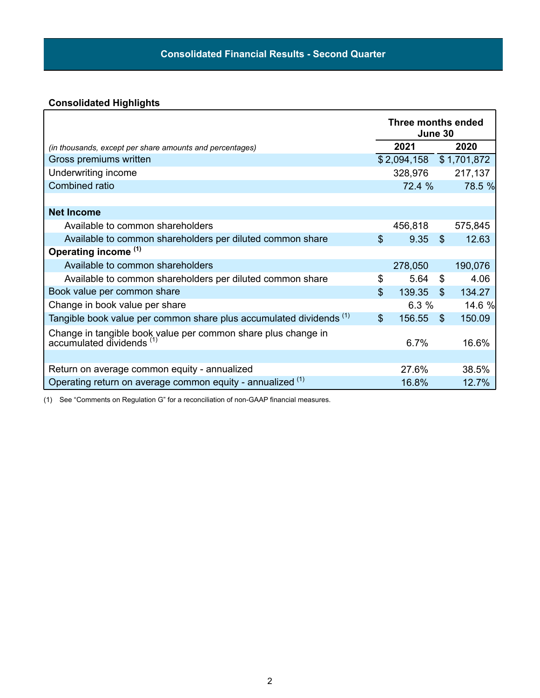# **Consolidated Highlights**

|                                                                                                    |                | Three months ended<br>June 30 |                |               |
|----------------------------------------------------------------------------------------------------|----------------|-------------------------------|----------------|---------------|
| (in thousands, except per share amounts and percentages)                                           |                | 2021                          |                | 2020          |
| Gross premiums written                                                                             |                | \$2,094,158                   |                | \$1,701,872   |
| Underwriting income                                                                                |                | 328,976                       |                | 217,137       |
| Combined ratio                                                                                     |                | 72.4 %                        |                | <b>78.5 %</b> |
|                                                                                                    |                |                               |                |               |
| <b>Net Income</b>                                                                                  |                |                               |                |               |
| Available to common shareholders                                                                   |                | 456,818                       |                | 575,845       |
| Available to common shareholders per diluted common share                                          | $\mathfrak{L}$ | 9.35                          | $\mathfrak{L}$ | 12.63         |
| Operating income <sup>(1)</sup>                                                                    |                |                               |                |               |
| Available to common shareholders                                                                   |                | 278,050                       |                | 190,076       |
| Available to common shareholders per diluted common share                                          | \$             | 5.64                          | \$             | 4.06          |
| Book value per common share                                                                        | $\mathfrak{L}$ | 139.35                        | $\mathfrak{L}$ | 134.27        |
| Change in book value per share                                                                     |                | 6.3%                          |                | 14.6 %        |
| Tangible book value per common share plus accumulated dividends (1)                                | $\mathfrak{S}$ | 156.55                        | $\mathfrak{L}$ | 150.09        |
| Change in tangible book value per common share plus change in accumulated dividends <sup>(1)</sup> |                | 6.7%                          |                | 16.6%         |
|                                                                                                    |                |                               |                |               |
| Return on average common equity - annualized                                                       |                | 27.6%                         |                | 38.5%         |
| Operating return on average common equity - annualized (1)                                         |                | 16.8%                         |                | 12.7%         |

(1) See "Comments on Regulation G" for a reconciliation of non-GAAP financial measures.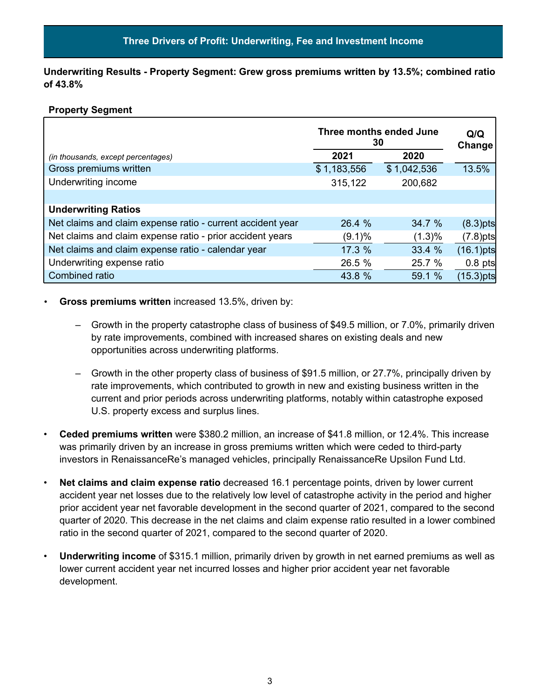**Underwriting Results - Property Segment: Grew gross premiums written by 13.5%; combined ratio of 43.8%**

#### **Property Segment**

|                                                            | Three months ended June<br>30 | Q/Q<br>Change |              |
|------------------------------------------------------------|-------------------------------|---------------|--------------|
| (in thousands, except percentages)                         | 2021                          | 2020          |              |
| Gross premiums written                                     | \$1,183,556                   | \$1,042,536   | 13.5%        |
| Underwriting income                                        | 315,122                       | 200,682       |              |
|                                                            |                               |               |              |
| <b>Underwriting Ratios</b>                                 |                               |               |              |
| Net claims and claim expense ratio - current accident year | 26.4 %                        | 34.7 %        | $(8.3)$ pts  |
| Net claims and claim expense ratio - prior accident years  | (9.1)%                        | (1.3)%        | $(7.8)$ pts  |
| Net claims and claim expense ratio - calendar year         | 17.3 %                        | 33.4 %        | $(16.1)$ pts |
| Underwriting expense ratio                                 | 26.5 %                        | 25.7 %        | $0.8$ pts    |
| Combined ratio                                             | 43.8 %                        | 59.1 %        | $(15.3)$ pts |

#### **Gross premiums written** increased 13.5%, driven by:

- Growth in the property catastrophe class of business of \$49.5 million, or 7.0%, primarily driven by rate improvements, combined with increased shares on existing deals and new opportunities across underwriting platforms.
- Growth in the other property class of business of \$91.5 million, or 27.7%, principally driven by rate improvements, which contributed to growth in new and existing business written in the current and prior periods across underwriting platforms, notably within catastrophe exposed U.S. property excess and surplus lines.
- **Ceded premiums written** were \$380.2 million, an increase of \$41.8 million, or 12.4%. This increase was primarily driven by an increase in gross premiums written which were ceded to third-party investors in RenaissanceRe's managed vehicles, principally RenaissanceRe Upsilon Fund Ltd.
- **Net claims and claim expense ratio** decreased 16.1 percentage points, driven by lower current accident year net losses due to the relatively low level of catastrophe activity in the period and higher prior accident year net favorable development in the second quarter of 2021, compared to the second quarter of 2020. This decrease in the net claims and claim expense ratio resulted in a lower combined ratio in the second quarter of 2021, compared to the second quarter of 2020.
- **Underwriting income** of \$315.1 million, primarily driven by growth in net earned premiums as well as lower current accident year net incurred losses and higher prior accident year net favorable development.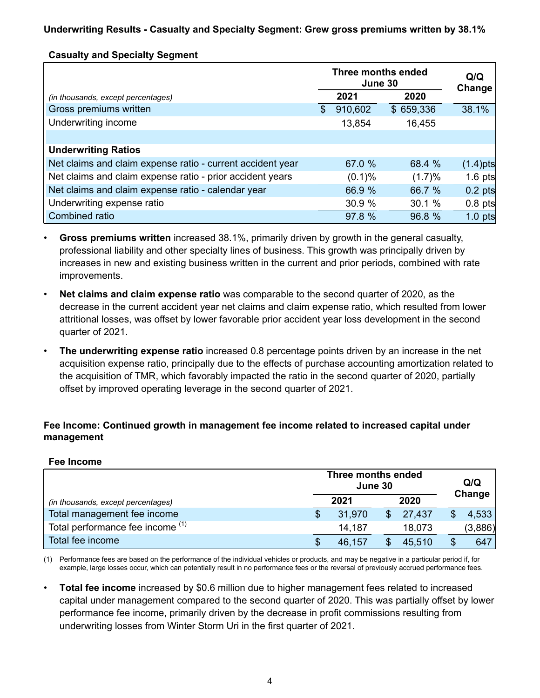## **Casualty and Specialty Segment**

|                                                            |               | Three months ended<br>June 30 | Q/Q<br>Change |             |
|------------------------------------------------------------|---------------|-------------------------------|---------------|-------------|
| (in thousands, except percentages)                         |               | 2021                          | 2020          |             |
| Gross premiums written                                     | $\mathcal{S}$ | 910,602                       | \$659,336     | 38.1%       |
| Underwriting income                                        |               | 13,854                        | 16,455        |             |
|                                                            |               |                               |               |             |
| <b>Underwriting Ratios</b>                                 |               |                               |               |             |
| Net claims and claim expense ratio - current accident year |               | 67.0 %                        | 68.4 %        | $(1.4)$ pts |
| Net claims and claim expense ratio - prior accident years  |               | $(0.1)$ %                     | (1.7)%        | 1.6 $pts$   |
| Net claims and claim expense ratio - calendar year         |               | 66.9 %                        | 66.7 %        | $0.2$ pts   |
| Underwriting expense ratio                                 |               | 30.9 %                        | 30.1 %        | $0.8$ pts   |
| Combined ratio                                             |               | 97.8 %                        | 96.8 %        | $1.0$ pts   |

- **Gross premiums written** increased 38.1%, primarily driven by growth in the general casualty, professional liability and other specialty lines of business. This growth was principally driven by increases in new and existing business written in the current and prior periods, combined with rate improvements.
- **Net claims and claim expense ratio** was comparable to the second quarter of 2020, as the decrease in the current accident year net claims and claim expense ratio, which resulted from lower attritional losses, was offset by lower favorable prior accident year loss development in the second quarter of 2021.
- **The underwriting expense ratio** increased 0.8 percentage points driven by an increase in the net acquisition expense ratio, principally due to the effects of purchase accounting amortization related to the acquisition of TMR, which favorably impacted the ratio in the second quarter of 2020, partially offset by improved operating leverage in the second quarter of 2021.

### **Fee Income: Continued growth in management fee income related to increased capital under management**

#### **Fee Income**

|                                    | Three months ended<br>June 30 |        |  |        |  | Q/Q<br>Change |  |
|------------------------------------|-------------------------------|--------|--|--------|--|---------------|--|
| (in thousands, except percentages) |                               | 2021   |  | 2020   |  |               |  |
| Total management fee income        |                               | 31,970 |  | 27,437 |  | 4,533         |  |
| Total performance fee income (1)   |                               | 14,187 |  | 18,073 |  | (3,886)       |  |
| Total fee income                   |                               | 46,157 |  | 45,510 |  | 647           |  |

(1) Performance fees are based on the performance of the individual vehicles or products, and may be negative in a particular period if, for example, large losses occur, which can potentially result in no performance fees or the reversal of previously accrued performance fees.

• **Total fee income** increased by \$0.6 million due to higher management fees related to increased capital under management compared to the second quarter of 2020. This was partially offset by lower performance fee income, primarily driven by the decrease in profit commissions resulting from underwriting losses from Winter Storm Uri in the first quarter of 2021.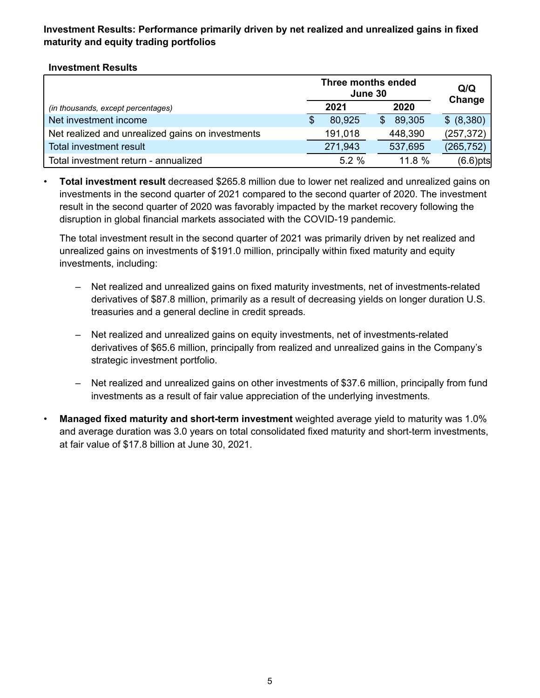# **Investment Results: Performance primarily driven by net realized and unrealized gains in fixed maturity and equity trading portfolios**

## **Investment Results**

|                                                  | Three months ended<br>June 30 | Q/Q<br>Change |             |
|--------------------------------------------------|-------------------------------|---------------|-------------|
| (in thousands, except percentages)               | 2021                          | 2020          |             |
| Net investment income                            | 80,925                        | 89,305        | \$ (8,380)  |
| Net realized and unrealized gains on investments | 191,018                       | 448,390       | (257, 372)  |
| <b>Total investment result</b>                   | 271,943                       | 537,695       | (265, 752)  |
| Total investment return - annualized             | $5.2 \%$                      | 11.8%         | $(6.6)$ pts |

• **Total investment result** decreased \$265.8 million due to lower net realized and unrealized gains on investments in the second quarter of 2021 compared to the second quarter of 2020. The investment result in the second quarter of 2020 was favorably impacted by the market recovery following the disruption in global financial markets associated with the COVID-19 pandemic.

The total investment result in the second quarter of 2021 was primarily driven by net realized and unrealized gains on investments of \$191.0 million, principally within fixed maturity and equity investments, including:

- Net realized and unrealized gains on fixed maturity investments, net of investments-related derivatives of \$87.8 million, primarily as a result of decreasing yields on longer duration U.S. treasuries and a general decline in credit spreads.
- Net realized and unrealized gains on equity investments, net of investments-related derivatives of \$65.6 million, principally from realized and unrealized gains in the Company's strategic investment portfolio.
- *–* Net realized and unrealized gains on other investments of \$37.6 million, principally from fund investments as a result of fair value appreciation of the underlying investments.
- **Managed fixed maturity and short-term investment** weighted average yield to maturity was 1.0% and average duration was 3.0 years on total consolidated fixed maturity and short-term investments, at fair value of \$17.8 billion at June 30, 2021.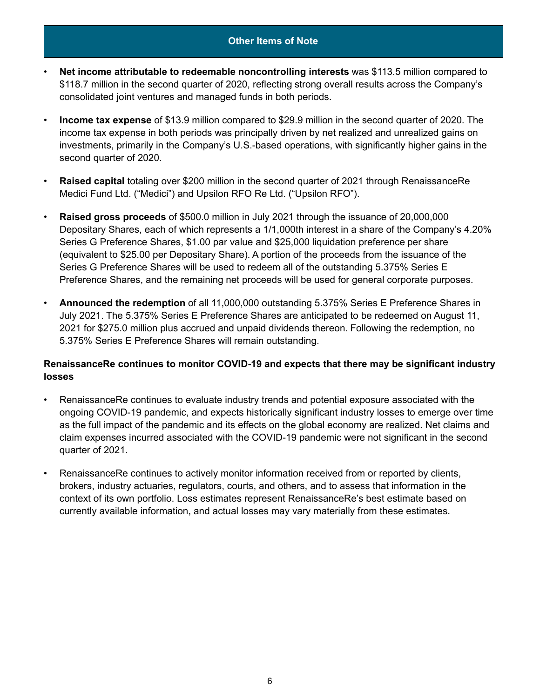#### **Other Items of Note**

- **Net income attributable to redeemable noncontrolling interests** was \$113.5 million compared to \$118.7 million in the second quarter of 2020, reflecting strong overall results across the Company's consolidated joint ventures and managed funds in both periods.
- *•* **Income tax expense** of \$13.9 million compared to \$29.9 million in the second quarter of 2020. The income tax expense in both periods was principally driven by net realized and unrealized gains on investments, primarily in the Company's U.S.-based operations, with significantly higher gains in the second quarter of 2020.
- **Raised capital** totaling over \$200 million in the second quarter of 2021 through RenaissanceRe Medici Fund Ltd. ("Medici") and Upsilon RFO Re Ltd. ("Upsilon RFO").
- **Raised gross proceeds** of \$500.0 million in July 2021 through the issuance of 20,000,000 Depositary Shares, each of which represents a 1/1,000th interest in a share of the Company's 4.20% Series G Preference Shares, \$1.00 par value and \$25,000 liquidation preference per share (equivalent to \$25.00 per Depositary Share). A portion of the proceeds from the issuance of the Series G Preference Shares will be used to redeem all of the outstanding 5.375% Series E Preference Shares, and the remaining net proceeds will be used for general corporate purposes.
- **Announced the redemption** of all 11,000,000 outstanding 5.375% Series E Preference Shares in July 2021. The 5.375% Series E Preference Shares are anticipated to be redeemed on August 11, 2021 for \$275.0 million plus accrued and unpaid dividends thereon. Following the redemption, no 5.375% Series E Preference Shares will remain outstanding.

### **RenaissanceRe continues to monitor COVID-19 and expects that there may be significant industry losses**

- RenaissanceRe continues to evaluate industry trends and potential exposure associated with the ongoing COVID-19 pandemic, and expects historically significant industry losses to emerge over time as the full impact of the pandemic and its effects on the global economy are realized. Net claims and claim expenses incurred associated with the COVID-19 pandemic were not significant in the second quarter of 2021.
- RenaissanceRe continues to actively monitor information received from or reported by clients, brokers, industry actuaries, regulators, courts, and others, and to assess that information in the context of its own portfolio. Loss estimates represent RenaissanceRe's best estimate based on currently available information, and actual losses may vary materially from these estimates.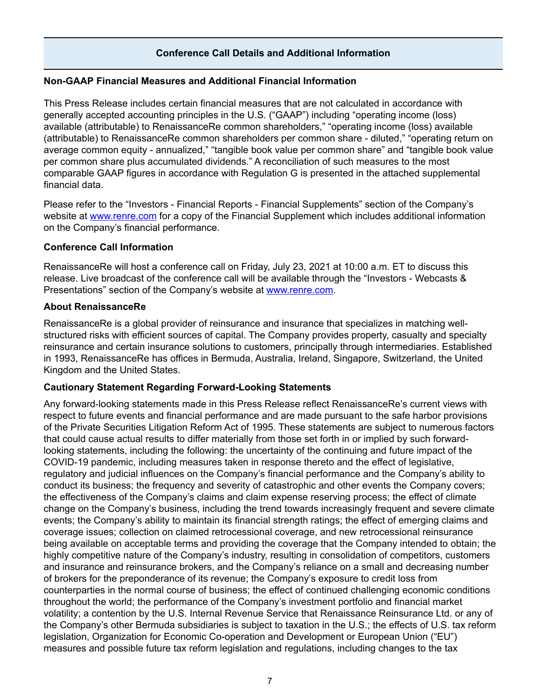## **Conference Call Details and Additional Information**

#### **Non-GAAP Financial Measures and Additional Financial Information**

This Press Release includes certain financial measures that are not calculated in accordance with generally accepted accounting principles in the U.S. ("GAAP") including "operating income (loss) available (attributable) to RenaissanceRe common shareholders," "operating income (loss) available (attributable) to RenaissanceRe common shareholders per common share - diluted," "operating return on average common equity - annualized," "tangible book value per common share" and "tangible book value per common share plus accumulated dividends." A reconciliation of such measures to the most comparable GAAP figures in accordance with Regulation G is presented in the attached supplemental financial data.

Please refer to the "Investors - Financial Reports - Financial Supplements" section of the Company's website at www.renre.com for a copy of the Financial Supplement which includes additional information on the Company's financial performance.

#### **Conference Call Information**

RenaissanceRe will host a conference call on Friday, July 23, 2021 at 10:00 a.m. ET to discuss this release. Live broadcast of the conference call will be available through the "Investors - Webcasts & Presentations" section of the Company's website at www.renre.com.

#### **About RenaissanceRe**

RenaissanceRe is a global provider of reinsurance and insurance that specializes in matching wellstructured risks with efficient sources of capital. The Company provides property, casualty and specialty reinsurance and certain insurance solutions to customers, principally through intermediaries. Established in 1993, RenaissanceRe has offices in Bermuda, Australia, Ireland, Singapore, Switzerland, the United Kingdom and the United States.

#### **Cautionary Statement Regarding Forward-Looking Statements**

Any forward-looking statements made in this Press Release reflect RenaissanceRe's current views with respect to future events and financial performance and are made pursuant to the safe harbor provisions of the Private Securities Litigation Reform Act of 1995. These statements are subject to numerous factors that could cause actual results to differ materially from those set forth in or implied by such forwardlooking statements, including the following: the uncertainty of the continuing and future impact of the COVID-19 pandemic, including measures taken in response thereto and the effect of legislative, regulatory and judicial influences on the Company's financial performance and the Company's ability to conduct its business; the frequency and severity of catastrophic and other events the Company covers; the effectiveness of the Company's claims and claim expense reserving process; the effect of climate change on the Company's business, including the trend towards increasingly frequent and severe climate events; the Company's ability to maintain its financial strength ratings; the effect of emerging claims and coverage issues; collection on claimed retrocessional coverage, and new retrocessional reinsurance being available on acceptable terms and providing the coverage that the Company intended to obtain; the highly competitive nature of the Company's industry, resulting in consolidation of competitors, customers and insurance and reinsurance brokers, and the Company's reliance on a small and decreasing number of brokers for the preponderance of its revenue; the Company's exposure to credit loss from counterparties in the normal course of business; the effect of continued challenging economic conditions throughout the world; the performance of the Company's investment portfolio and financial market volatility; a contention by the U.S. Internal Revenue Service that Renaissance Reinsurance Ltd. or any of the Company's other Bermuda subsidiaries is subject to taxation in the U.S.; the effects of U.S. tax reform legislation, Organization for Economic Co-operation and Development or European Union ("EU") measures and possible future tax reform legislation and regulations, including changes to the tax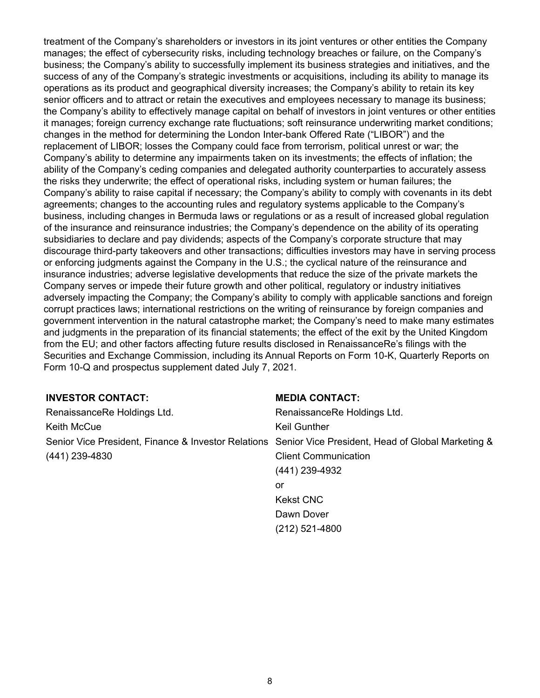treatment of the Company's shareholders or investors in its joint ventures or other entities the Company manages; the effect of cybersecurity risks, including technology breaches or failure, on the Company's business; the Company's ability to successfully implement its business strategies and initiatives, and the success of any of the Company's strategic investments or acquisitions, including its ability to manage its operations as its product and geographical diversity increases; the Company's ability to retain its key senior officers and to attract or retain the executives and employees necessary to manage its business; the Company's ability to effectively manage capital on behalf of investors in joint ventures or other entities it manages; foreign currency exchange rate fluctuations; soft reinsurance underwriting market conditions; changes in the method for determining the London Inter-bank Offered Rate ("LIBOR") and the replacement of LIBOR; losses the Company could face from terrorism, political unrest or war; the Company's ability to determine any impairments taken on its investments; the effects of inflation; the ability of the Company's ceding companies and delegated authority counterparties to accurately assess the risks they underwrite; the effect of operational risks, including system or human failures; the Company's ability to raise capital if necessary; the Company's ability to comply with covenants in its debt agreements; changes to the accounting rules and regulatory systems applicable to the Company's business, including changes in Bermuda laws or regulations or as a result of increased global regulation of the insurance and reinsurance industries; the Company's dependence on the ability of its operating subsidiaries to declare and pay dividends; aspects of the Company's corporate structure that may discourage third-party takeovers and other transactions; difficulties investors may have in serving process or enforcing judgments against the Company in the U.S.; the cyclical nature of the reinsurance and insurance industries; adverse legislative developments that reduce the size of the private markets the Company serves or impede their future growth and other political, regulatory or industry initiatives adversely impacting the Company; the Company's ability to comply with applicable sanctions and foreign corrupt practices laws; international restrictions on the writing of reinsurance by foreign companies and government intervention in the natural catastrophe market; the Company's need to make many estimates and judgments in the preparation of its financial statements; the effect of the exit by the United Kingdom from the EU; and other factors affecting future results disclosed in RenaissanceRe's filings with the Securities and Exchange Commission, including its Annual Reports on Form 10-K, Quarterly Reports on Form 10-Q and prospectus supplement dated July 7, 2021.

### **INVESTOR CONTACT:**

| RenaissanceRe Holdings Ltd.                                                                           |
|-------------------------------------------------------------------------------------------------------|
|                                                                                                       |
| Senior Vice President, Finance & Investor Relations Senior Vice President, Head of Global Marketing & |
|                                                                                                       |
|                                                                                                       |
|                                                                                                       |
|                                                                                                       |
|                                                                                                       |
|                                                                                                       |

**MEDIA CONTACT:**

(212) 521-4800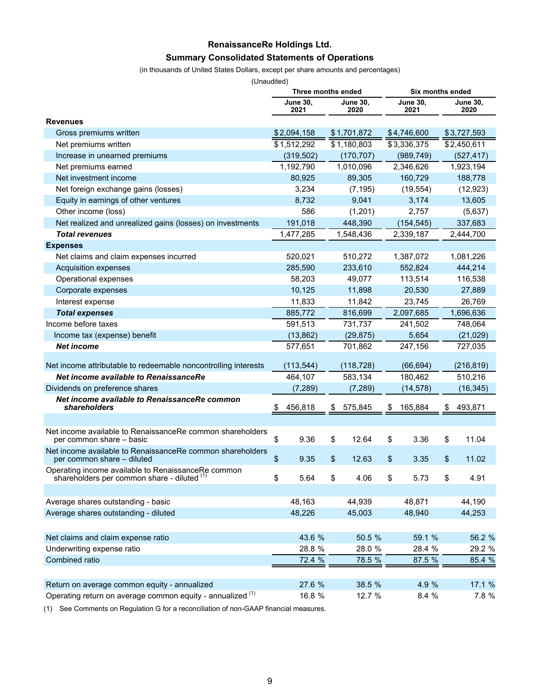# **RenaissanceRe Holdings Ltd. Summary Consolidated Statements of Operations**

#### (in thousands of United States Dollars, except per share amounts and percentages)

(Unaudited)

|                                                                                                   | Three months ended |                         |    |                         | Six months ended |                         |    |                         |  |       |  |           |  |           |  |           |  |  |  |  |  |  |  |  |  |  |  |  |  |  |  |         |  |         |
|---------------------------------------------------------------------------------------------------|--------------------|-------------------------|----|-------------------------|------------------|-------------------------|----|-------------------------|--|-------|--|-----------|--|-----------|--|-----------|--|--|--|--|--|--|--|--|--|--|--|--|--|--|--|---------|--|---------|
|                                                                                                   |                    | <b>June 30,</b><br>2021 |    | <b>June 30,</b><br>2020 |                  | <b>June 30,</b><br>2021 |    | <b>June 30,</b><br>2020 |  |       |  |           |  |           |  |           |  |  |  |  |  |  |  |  |  |  |  |  |  |  |  |         |  |         |
| <b>Revenues</b>                                                                                   |                    |                         |    |                         |                  |                         |    |                         |  |       |  |           |  |           |  |           |  |  |  |  |  |  |  |  |  |  |  |  |  |  |  |         |  |         |
| Gross premiums written                                                                            |                    | \$2,094,158             |    | \$1,701,872             |                  | \$4,746,600             |    | \$3,727,593             |  |       |  |           |  |           |  |           |  |  |  |  |  |  |  |  |  |  |  |  |  |  |  |         |  |         |
| Net premiums written                                                                              |                    | \$1,512,292             |    | \$1,180,803             |                  | \$3,336,375             |    | \$2,450,611             |  |       |  |           |  |           |  |           |  |  |  |  |  |  |  |  |  |  |  |  |  |  |  |         |  |         |
| Increase in unearned premiums                                                                     |                    | (319, 502)              |    | (170, 707)              |                  | (989, 749)              |    | (527, 417)              |  |       |  |           |  |           |  |           |  |  |  |  |  |  |  |  |  |  |  |  |  |  |  |         |  |         |
| Net premiums earned                                                                               |                    | 1,192,790               |    | 1,010,096               |                  | 2,346,626               |    | 1,923,194               |  |       |  |           |  |           |  |           |  |  |  |  |  |  |  |  |  |  |  |  |  |  |  |         |  |         |
| Net investment income                                                                             |                    | 80,925                  |    | 89,305                  |                  | 160,729                 |    | 188,778                 |  |       |  |           |  |           |  |           |  |  |  |  |  |  |  |  |  |  |  |  |  |  |  |         |  |         |
| Net foreign exchange gains (losses)                                                               |                    | 3,234                   |    | (7, 195)                |                  | (19, 554)               |    | (12, 923)               |  |       |  |           |  |           |  |           |  |  |  |  |  |  |  |  |  |  |  |  |  |  |  |         |  |         |
| Equity in earnings of other ventures                                                              |                    | 8,732                   |    | 9,041                   |                  | 3,174                   |    | 13,605                  |  |       |  |           |  |           |  |           |  |  |  |  |  |  |  |  |  |  |  |  |  |  |  |         |  |         |
| Other income (loss)                                                                               |                    | 586                     |    | (1,201)                 |                  | 2,757                   |    | (5,637)                 |  |       |  |           |  |           |  |           |  |  |  |  |  |  |  |  |  |  |  |  |  |  |  |         |  |         |
| Net realized and unrealized gains (losses) on investments                                         |                    | 191,018                 |    | 448,390                 |                  | (154, 545)              |    | 337,683                 |  |       |  |           |  |           |  |           |  |  |  |  |  |  |  |  |  |  |  |  |  |  |  |         |  |         |
| <b>Total revenues</b>                                                                             |                    | 1,477,285               |    | 1,548,436               |                  | 2,339,187               |    | 2,444,700               |  |       |  |           |  |           |  |           |  |  |  |  |  |  |  |  |  |  |  |  |  |  |  |         |  |         |
| <b>Expenses</b>                                                                                   |                    |                         |    |                         |                  |                         |    |                         |  |       |  |           |  |           |  |           |  |  |  |  |  |  |  |  |  |  |  |  |  |  |  |         |  |         |
| Net claims and claim expenses incurred                                                            |                    | 520,021                 |    | 510,272                 |                  | 1,387,072               |    | 1,081,226               |  |       |  |           |  |           |  |           |  |  |  |  |  |  |  |  |  |  |  |  |  |  |  |         |  |         |
| <b>Acquisition expenses</b>                                                                       |                    | 285,590                 |    | 233,610                 |                  | 552,824                 |    | 444,214                 |  |       |  |           |  |           |  |           |  |  |  |  |  |  |  |  |  |  |  |  |  |  |  |         |  |         |
| Operational expenses                                                                              |                    | 58,203                  |    | 49,077                  |                  | 113,514                 |    | 116,538                 |  |       |  |           |  |           |  |           |  |  |  |  |  |  |  |  |  |  |  |  |  |  |  |         |  |         |
| Corporate expenses                                                                                |                    | 10,125                  |    | 11,898                  |                  | 20,530                  |    | 27,889                  |  |       |  |           |  |           |  |           |  |  |  |  |  |  |  |  |  |  |  |  |  |  |  |         |  |         |
| Interest expense                                                                                  |                    | 11,833                  |    | 11,842                  |                  | 23,745                  |    | 26,769                  |  |       |  |           |  |           |  |           |  |  |  |  |  |  |  |  |  |  |  |  |  |  |  |         |  |         |
| <b>Total expenses</b>                                                                             |                    | 885,772                 |    | 816,699                 |                  | 2,097,685               |    | 1,696,636               |  |       |  |           |  |           |  |           |  |  |  |  |  |  |  |  |  |  |  |  |  |  |  |         |  |         |
| Income before taxes                                                                               |                    | 591,513                 |    | 731,737                 |                  | 241,502                 |    | 748,064                 |  |       |  |           |  |           |  |           |  |  |  |  |  |  |  |  |  |  |  |  |  |  |  |         |  |         |
| Income tax (expense) benefit                                                                      |                    | (13, 862)               |    |                         |                  |                         |    | (29, 875)               |  | 5,654 |  | (21, 029) |  |           |  |           |  |  |  |  |  |  |  |  |  |  |  |  |  |  |  |         |  |         |
| <b>Net income</b>                                                                                 |                    | 577,651                 |    |                         |                  |                         |    |                         |  |       |  |           |  |           |  | 701,862   |  |  |  |  |  |  |  |  |  |  |  |  |  |  |  | 247,156 |  | 727,035 |
| Net income attributable to redeemable noncontrolling interests                                    |                    | (113, 544)              |    | (118, 728)              |                  | (66, 694)               |    | (216, 819)              |  |       |  |           |  |           |  |           |  |  |  |  |  |  |  |  |  |  |  |  |  |  |  |         |  |         |
| Net income available to RenaissanceRe                                                             |                    | 464,107                 |    | 583,134                 |                  | 180,462                 |    | 510,216                 |  |       |  |           |  |           |  |           |  |  |  |  |  |  |  |  |  |  |  |  |  |  |  |         |  |         |
| Dividends on preference shares                                                                    |                    | (7,289)                 |    | (7, 289)                |                  |                         |    |                         |  |       |  |           |  | (14, 578) |  | (16, 345) |  |  |  |  |  |  |  |  |  |  |  |  |  |  |  |         |  |         |
| Net income available to RenaissanceRe common                                                      |                    |                         |    |                         |                  |                         |    |                         |  |       |  |           |  |           |  |           |  |  |  |  |  |  |  |  |  |  |  |  |  |  |  |         |  |         |
| shareholders                                                                                      | \$                 | 456,818                 | \$ | 575,845                 | \$               | 165,884                 | \$ | 493,871                 |  |       |  |           |  |           |  |           |  |  |  |  |  |  |  |  |  |  |  |  |  |  |  |         |  |         |
|                                                                                                   |                    |                         |    |                         |                  |                         |    |                         |  |       |  |           |  |           |  |           |  |  |  |  |  |  |  |  |  |  |  |  |  |  |  |         |  |         |
| Net income available to RenaissanceRe common shareholders<br>per common share - basic             | \$                 | 9.36                    | \$ | 12.64                   | \$               | 3.36                    | \$ | 11.04                   |  |       |  |           |  |           |  |           |  |  |  |  |  |  |  |  |  |  |  |  |  |  |  |         |  |         |
| Net income available to RenaissanceRe common shareholders                                         |                    |                         |    |                         |                  |                         |    |                         |  |       |  |           |  |           |  |           |  |  |  |  |  |  |  |  |  |  |  |  |  |  |  |         |  |         |
| per common share - diluted                                                                        | \$                 | 9.35                    | \$ | 12.63                   | \$               | 3.35                    | \$ | 11.02                   |  |       |  |           |  |           |  |           |  |  |  |  |  |  |  |  |  |  |  |  |  |  |  |         |  |         |
| Operating income available to RenaissanceRe common<br>shareholders per common share - diluted (1) | \$                 | 5.64                    |    | 4.06                    | S                | 5.73                    | S  | 4.91                    |  |       |  |           |  |           |  |           |  |  |  |  |  |  |  |  |  |  |  |  |  |  |  |         |  |         |
|                                                                                                   |                    |                         |    |                         |                  |                         |    |                         |  |       |  |           |  |           |  |           |  |  |  |  |  |  |  |  |  |  |  |  |  |  |  |         |  |         |
| Average shares outstanding - basic                                                                |                    | 48,163                  |    | 44,939                  |                  | 48,871                  |    | 44,190                  |  |       |  |           |  |           |  |           |  |  |  |  |  |  |  |  |  |  |  |  |  |  |  |         |  |         |
| Average shares outstanding - diluted                                                              |                    | 48,226                  |    | 45,003                  |                  | 48,940                  |    | 44,253                  |  |       |  |           |  |           |  |           |  |  |  |  |  |  |  |  |  |  |  |  |  |  |  |         |  |         |
|                                                                                                   |                    |                         |    |                         |                  |                         |    |                         |  |       |  |           |  |           |  |           |  |  |  |  |  |  |  |  |  |  |  |  |  |  |  |         |  |         |
| Net claims and claim expense ratio                                                                |                    | 43.6 %                  |    | 50.5 %                  |                  | 59.1 %                  |    | 56.2 %                  |  |       |  |           |  |           |  |           |  |  |  |  |  |  |  |  |  |  |  |  |  |  |  |         |  |         |
| Underwriting expense ratio                                                                        |                    | 28.8 %                  |    | 28.0 %                  |                  | 28.4 %                  |    | 29.2 %                  |  |       |  |           |  |           |  |           |  |  |  |  |  |  |  |  |  |  |  |  |  |  |  |         |  |         |
| Combined ratio                                                                                    |                    | 72.4 %                  |    | 78.5 %                  |                  | 87.5 %                  |    | 85.4 %                  |  |       |  |           |  |           |  |           |  |  |  |  |  |  |  |  |  |  |  |  |  |  |  |         |  |         |
|                                                                                                   |                    |                         |    |                         |                  |                         |    |                         |  |       |  |           |  |           |  |           |  |  |  |  |  |  |  |  |  |  |  |  |  |  |  |         |  |         |
| Return on average common equity - annualized                                                      |                    | 27.6 %                  |    | 38.5 %                  |                  | 4.9 %                   |    | 17.1 %                  |  |       |  |           |  |           |  |           |  |  |  |  |  |  |  |  |  |  |  |  |  |  |  |         |  |         |
| Operating return on average common equity - annualized (1)                                        |                    | 16.8 %                  |    | 12.7 %                  |                  | 8.4 %                   |    | 7.8 %                   |  |       |  |           |  |           |  |           |  |  |  |  |  |  |  |  |  |  |  |  |  |  |  |         |  |         |

(1) See Comments on Regulation G for a reconciliation of non-GAAP financial measures.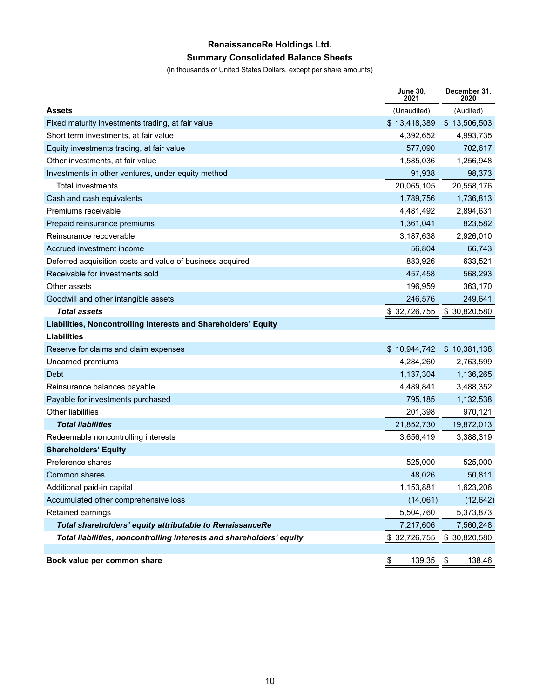# **RenaissanceRe Holdings Ltd.**

# **Summary Consolidated Balance Sheets**

(in thousands of United States Dollars, except per share amounts)

|                                                                      | <b>June 30,</b><br>2021 | December 31,<br>2020 |
|----------------------------------------------------------------------|-------------------------|----------------------|
| <b>Assets</b>                                                        | (Unaudited)             | (Audited)            |
| Fixed maturity investments trading, at fair value                    | \$13,418,389            | \$13,506,503         |
| Short term investments, at fair value                                | 4,392,652               | 4,993,735            |
| Equity investments trading, at fair value                            | 577,090                 | 702,617              |
| Other investments, at fair value                                     | 1,585,036               | 1,256,948            |
| Investments in other ventures, under equity method                   | 91,938                  | 98,373               |
| <b>Total investments</b>                                             | 20,065,105              | 20,558,176           |
| Cash and cash equivalents                                            | 1,789,756               | 1,736,813            |
| Premiums receivable                                                  | 4,481,492               | 2,894,631            |
| Prepaid reinsurance premiums                                         | 1,361,041               | 823,582              |
| Reinsurance recoverable                                              | 3,187,638               | 2,926,010            |
| Accrued investment income                                            | 56,804                  | 66,743               |
| Deferred acquisition costs and value of business acquired            | 883,926                 | 633,521              |
| Receivable for investments sold                                      | 457,458                 | 568,293              |
| Other assets                                                         | 196,959                 | 363,170              |
| Goodwill and other intangible assets                                 | 246,576                 | 249,641              |
| <b>Total assets</b>                                                  | 32,726,755<br>\$        | \$30,820,580         |
| Liabilities, Noncontrolling Interests and Shareholders' Equity       |                         |                      |
| Liabilities                                                          |                         |                      |
| Reserve for claims and claim expenses                                | \$10,944,742            | \$10,381,138         |
| Unearned premiums                                                    | 4,284,260               | 2,763,599            |
| Debt                                                                 | 1,137,304               | 1,136,265            |
| Reinsurance balances payable                                         | 4,489,841               | 3,488,352            |
| Payable for investments purchased                                    | 795,185                 | 1,132,538            |
| <b>Other liabilities</b>                                             | 201,398                 | 970,121              |
| <b>Total liabilities</b>                                             | 21,852,730              | 19,872,013           |
| Redeemable noncontrolling interests                                  | 3,656,419               | 3,388,319            |
| <b>Shareholders' Equity</b>                                          |                         |                      |
| Preference shares                                                    | 525,000                 | 525,000              |
| Common shares                                                        | 48,026                  | 50,811               |
| Additional paid-in capital                                           | 1,153,881               | 1,623,206            |
| Accumulated other comprehensive loss                                 | (14,061)                | (12, 642)            |
| Retained earnings                                                    | 5,504,760               | 5,373,873            |
| Total shareholders' equity attributable to RenaissanceRe             | 7,217,606               | 7,560,248            |
| Total liabilities, noncontrolling interests and shareholders' equity | \$32,726,755            | \$30,820,580         |
|                                                                      |                         |                      |
| Book value per common share                                          | \$<br>139.35 \$         | 138.46               |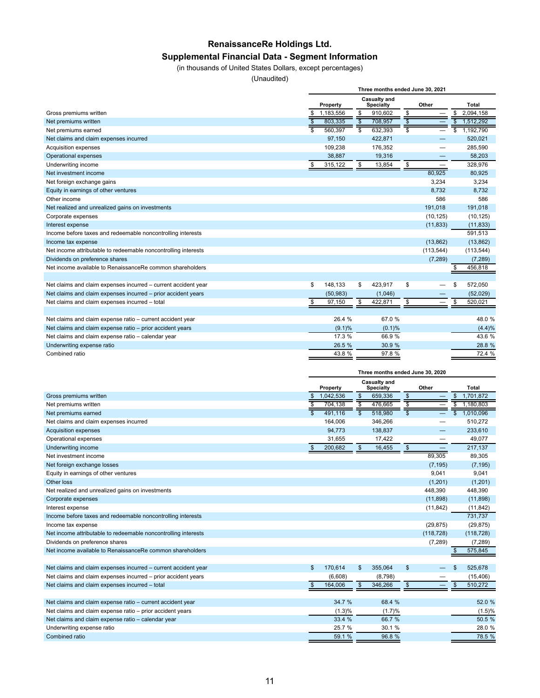## **RenaissanceRe Holdings Ltd. Supplemental Financial Data - Segment Information**

#### (in thousands of United States Dollars, except percentages)

(Unaudited)

|                                                                | Three months ended June 30, 2021 |           |    |                                         |    |            |                         |              |
|----------------------------------------------------------------|----------------------------------|-----------|----|-----------------------------------------|----|------------|-------------------------|--------------|
|                                                                | Property                         |           |    | <b>Casualty and</b><br><b>Specialty</b> |    | Other      |                         | <b>Total</b> |
| Gross premiums written                                         |                                  | 1,183,556 | \$ | 910,602                                 | \$ |            | \$                      | 2,094,158    |
| Net premiums written                                           | \$                               | 803,335   |    | 708,957                                 |    |            | \$                      | 1,512,292    |
| Net premiums earned                                            |                                  | 560.397   |    | 632,393                                 | \$ |            | $\overline{\mathbb{s}}$ | 1,192,790    |
| Net claims and claim expenses incurred                         |                                  | 97.150    |    | 422,871                                 |    |            |                         | 520,021      |
| Acquisition expenses                                           |                                  | 109,238   |    | 176,352                                 |    |            |                         | 285,590      |
| Operational expenses                                           |                                  | 38,887    |    | 19,316                                  |    |            |                         | 58,203       |
| Underwriting income                                            | \$                               | 315,122   | \$ | 13,854                                  | \$ | —          |                         | 328,976      |
| Net investment income                                          |                                  |           |    |                                         |    | 80,925     |                         | 80,925       |
| Net foreign exchange gains                                     |                                  |           |    |                                         |    | 3,234      |                         | 3,234        |
| Equity in earnings of other ventures                           |                                  |           |    |                                         |    | 8,732      |                         | 8,732        |
| Other income                                                   |                                  |           |    |                                         |    | 586        |                         | 586          |
| Net realized and unrealized gains on investments               |                                  |           |    |                                         |    | 191,018    |                         | 191,018      |
| Corporate expenses                                             |                                  |           |    |                                         |    | (10, 125)  |                         | (10, 125)    |
| Interest expense                                               |                                  |           |    |                                         |    | (11, 833)  |                         | (11, 833)    |
| Income before taxes and redeemable noncontrolling interests    |                                  |           |    |                                         |    |            |                         | 591,513      |
| Income tax expense                                             |                                  |           |    |                                         |    | (13, 862)  |                         | (13, 862)    |
| Net income attributable to redeemable noncontrolling interests |                                  |           |    |                                         |    | (113, 544) |                         | (113, 544)   |
| Dividends on preference shares                                 |                                  |           |    |                                         |    | (7, 289)   |                         | (7, 289)     |
| Net income available to RenaissanceRe common shareholders      |                                  |           |    |                                         |    |            |                         | 456,818      |
|                                                                |                                  |           |    |                                         |    |            |                         |              |
| Net claims and claim expenses incurred - current accident year | \$                               | 148,133   | \$ | 423,917                                 | \$ |            | \$                      | 572,050      |
| Net claims and claim expenses incurred - prior accident years  |                                  | (50, 983) |    | (1,046)                                 |    |            |                         | (52,029)     |
| Net claims and claim expenses incurred - total                 | \$                               | 97,150    | \$ | 422,871                                 | \$ |            | \$                      | 520,021      |
|                                                                |                                  |           |    |                                         |    |            |                         |              |
| Net claims and claim expense ratio - current accident year     |                                  | 26.4 %    |    | 67.0 %                                  |    |            |                         | 48.0 %       |
| Net claims and claim expense ratio - prior accident years      |                                  | $(9.1)\%$ |    | (0.1)%                                  |    |            |                         | (4.4)%       |
| Net claims and claim expense ratio - calendar year             |                                  | 17.3 %    |    | 66.9%                                   |    |            |                         | 43.6 %       |
| Underwriting expense ratio                                     |                                  | 26.5 %    |    | 30.9 %                                  |    |            |                         | 28.8 %       |
| Combined ratio                                                 |                                  | 43.8 %    |    | 97.8 %                                  |    |            |                         | 72.4 %       |

|                                                                | Three months ended June 30, 2020 |           |                                  |         |                 |            |    |            |
|----------------------------------------------------------------|----------------------------------|-----------|----------------------------------|---------|-----------------|------------|----|------------|
|                                                                | Property                         |           | Casualty and<br><b>Specialty</b> |         | Other           |            |    | Total      |
| Gross premiums written                                         |                                  | 1,042,536 | $\mathbb{S}$                     | 659,336 | \$              |            | \$ | 1.701.872  |
| Net premiums written                                           |                                  | 704,138   |                                  | 476,665 |                 |            | s  | 1,180,803  |
| Net premiums earned                                            | $\overline{\mathsf{s}}$          | 491,116   |                                  | 518,980 | $\overline{\$}$ |            | \$ | 1,010,096  |
| Net claims and claim expenses incurred                         |                                  | 164.006   |                                  | 346,266 |                 |            |    | 510,272    |
| <b>Acquisition expenses</b>                                    |                                  | 94.773    |                                  | 138,837 |                 |            |    | 233.610    |
| Operational expenses                                           |                                  | 31,655    |                                  | 17,422  |                 |            |    | 49,077     |
| Underwriting income                                            | $\mathfrak{S}$                   | 200,682   | $\mathfrak{s}$                   | 16,455  | \$              |            |    | 217,137    |
| Net investment income                                          |                                  |           |                                  |         |                 | 89,305     |    | 89,305     |
| Net foreign exchange losses                                    |                                  |           |                                  |         |                 | (7, 195)   |    | (7, 195)   |
| Equity in earnings of other ventures                           |                                  |           |                                  |         |                 | 9,041      |    | 9,041      |
| Other loss                                                     |                                  |           |                                  |         |                 | (1,201)    |    | (1,201)    |
| Net realized and unrealized gains on investments               |                                  |           |                                  |         |                 | 448.390    |    | 448,390    |
| Corporate expenses                                             |                                  |           |                                  |         |                 | (11, 898)  |    | (11, 898)  |
| Interest expense                                               |                                  |           |                                  |         |                 | (11, 842)  |    | (11, 842)  |
| Income before taxes and redeemable noncontrolling interests    |                                  |           |                                  |         |                 |            |    | 731,737    |
| Income tax expense                                             |                                  |           |                                  |         |                 | (29, 875)  |    | (29, 875)  |
| Net income attributable to redeemable noncontrolling interests |                                  |           |                                  |         |                 | (118, 728) |    | (118, 728) |
| Dividends on preference shares                                 |                                  |           |                                  |         |                 | (7, 289)   |    | (7, 289)   |
| Net income available to RenaissanceRe common shareholders      |                                  |           |                                  |         |                 |            |    | 575,845    |
|                                                                |                                  |           |                                  |         |                 |            |    |            |
| Net claims and claim expenses incurred - current accident year | $\mathbf{\$}$                    | 170.614   | \$                               | 355,064 | \$              |            | \$ | 525,678    |
| Net claims and claim expenses incurred - prior accident years  |                                  | (6,608)   |                                  | (8,798) |                 |            |    | (15, 406)  |
| Net claims and claim expenses incurred - total                 | \$                               | 164,006   | \$                               | 346,266 | \$              |            | \$ | 510,272    |
|                                                                |                                  |           |                                  |         |                 |            |    |            |
| Net claims and claim expense ratio - current accident year     |                                  | 34.7 %    |                                  | 68.4 %  |                 |            |    | 52.0 %     |
| Net claims and claim expense ratio - prior accident years      |                                  | (1.3)%    |                                  | (1.7)%  |                 |            |    | (1.5)%     |
| Net claims and claim expense ratio - calendar year             |                                  | 33.4 %    |                                  | 66.7 %  |                 |            |    | 50.5 %     |
| Underwriting expense ratio                                     |                                  | 25.7 %    |                                  | 30.1 %  |                 |            |    | 28.0 %     |
| Combined ratio                                                 |                                  | 59.1 %    |                                  | 96.8%   |                 |            |    | 78.5 %     |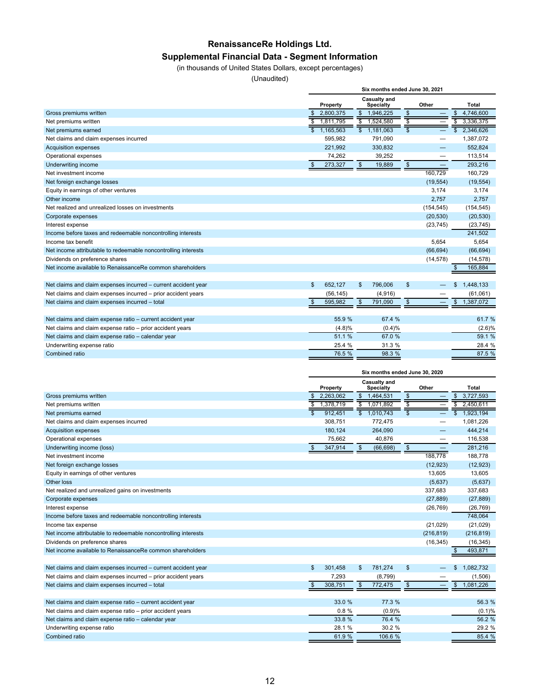# **RenaissanceRe Holdings Ltd.**

## **Supplemental Financial Data - Segment Information**

(in thousands of United States Dollars, except percentages)

(Unaudited)

|                                                                | Six months ended June 30, 2021 |           |                |                                         |                          |            |                           |              |
|----------------------------------------------------------------|--------------------------------|-----------|----------------|-----------------------------------------|--------------------------|------------|---------------------------|--------------|
|                                                                |                                | Property  |                | <b>Casualty and</b><br><b>Specialty</b> |                          | Other      |                           | <b>Total</b> |
| Gross premiums written                                         | \$                             | 2,800,375 | \$             | 1,946,225                               | $\overline{\mathcal{S}}$ |            | \$                        | 4,746,600    |
| Net premiums written                                           | S                              | 1,811,795 | \$             | 1,524,580                               | S                        |            | $\overline{\mathbb{s}}$   | 3,336,375    |
| Net premiums earned                                            |                                | 1,165,563 |                | $\overline{\$}$ 1,181,063               | $\overline{\mathbb{S}}$  |            | $\overline{\mathfrak{s}}$ | 2,346,626    |
| Net claims and claim expenses incurred                         |                                | 595,982   |                | 791,090                                 |                          |            |                           | 1,387,072    |
| <b>Acquisition expenses</b>                                    |                                | 221.992   |                | 330,832                                 |                          |            |                           | 552,824      |
| Operational expenses                                           |                                | 74,262    |                | 39,252                                  |                          |            |                           | 113,514      |
| Underwriting income                                            | $\mathfrak{s}$                 | 273,327   | \$             | 19,889                                  | $\sqrt[6]{\frac{1}{2}}$  |            |                           | 293,216      |
| Net investment income                                          |                                |           |                |                                         |                          | 160,729    |                           | 160,729      |
| Net foreign exchange losses                                    |                                |           |                |                                         |                          | (19, 554)  |                           | (19, 554)    |
| Equity in earnings of other ventures                           |                                |           |                |                                         |                          | 3.174      |                           | 3.174        |
| Other income                                                   |                                |           |                |                                         |                          | 2,757      |                           | 2,757        |
| Net realized and unrealized losses on investments              |                                |           |                |                                         |                          | (154, 545) |                           | (154, 545)   |
| Corporate expenses                                             |                                |           |                |                                         |                          | (20, 530)  |                           | (20, 530)    |
| Interest expense                                               |                                |           |                |                                         |                          | (23, 745)  |                           | (23, 745)    |
| Income before taxes and redeemable noncontrolling interests    |                                |           |                |                                         |                          |            |                           | 241,502      |
| Income tax benefit                                             |                                |           |                |                                         |                          | 5.654      |                           | 5.654        |
| Net income attributable to redeemable noncontrolling interests |                                |           |                |                                         |                          | (66, 694)  |                           | (66, 694)    |
| Dividends on preference shares                                 |                                |           |                |                                         |                          | (14, 578)  |                           | (14, 578)    |
| Net income available to RenaissanceRe common shareholders      |                                |           |                |                                         |                          |            | \$                        | 165,884      |
|                                                                |                                |           |                |                                         |                          |            |                           |              |
| Net claims and claim expenses incurred - current accident year | $\mathfrak{L}$                 | 652.127   | \$             | 796.006                                 | $\mathfrak{s}$           |            | \$                        | 1,448,133    |
| Net claims and claim expenses incurred - prior accident years  |                                | (56, 145) |                | (4,916)                                 |                          |            |                           | (61,061)     |
| Net claims and claim expenses incurred - total                 | $\mathfrak{S}$                 | 595,982   | $\mathfrak{s}$ | 791,090                                 | $\mathbf{\$}$            |            | \$                        | 1,387,072    |
|                                                                |                                |           |                |                                         |                          |            |                           |              |
| Net claims and claim expense ratio - current accident year     |                                | 55.9 %    |                | 67.4 %                                  |                          |            |                           | 61.7 %       |
| Net claims and claim expense ratio - prior accident years      |                                | (4.8)%    |                | (0.4)%                                  |                          |            |                           | (2.6)%       |
| Net claims and claim expense ratio - calendar year             |                                | 51.1 %    |                | 67.0 %                                  |                          |            |                           | 59.1 %       |
| Underwriting expense ratio                                     |                                | 25.4 %    |                | 31.3 %                                  |                          |            |                           | 28.4 %       |
| Combined ratio                                                 |                                | 76.5 %    |                | 98.3 %                                  |                          |            |                           | 87.5 %       |

|                                                                | Six months ended June 30, 2020 |           |                                  |           |       |            |                         |            |
|----------------------------------------------------------------|--------------------------------|-----------|----------------------------------|-----------|-------|------------|-------------------------|------------|
|                                                                | Property                       |           | Casualty and<br><b>Specialty</b> |           | Other |            |                         | Total      |
| Gross premiums written                                         |                                | 2,263,062 | $\mathbf{\$}$                    | 1,464,531 | \$    |            | \$                      | 3,727,593  |
| Net premiums written                                           | \$                             | 1,378,719 | $\overline{\mathbb{s}}$          | 1,071,892 |       |            | $\overline{\mathbb{s}}$ | 2,450,611  |
| Net premiums earned                                            | $\overline{\mathbf{s}}$        | 912.451   | $\overline{\mathbb{S}}$          | 1,010,743 |       |            | \$                      | 1,923,194  |
| Net claims and claim expenses incurred                         |                                | 308,751   |                                  | 772,475   |       |            |                         | 1,081,226  |
| <b>Acquisition expenses</b>                                    |                                | 180,124   |                                  | 264,090   |       |            |                         | 444,214    |
| Operational expenses                                           |                                | 75,662    |                                  | 40,876    |       |            |                         | 116,538    |
| Underwriting income (loss)                                     | \$                             | 347,914   | $\mathbb{S}$                     | (66, 698) | \$    |            |                         | 281,216    |
| Net investment income                                          |                                |           |                                  |           |       | 188,778    |                         | 188,778    |
| Net foreign exchange losses                                    |                                |           |                                  |           |       | (12, 923)  |                         | (12, 923)  |
| Equity in earnings of other ventures                           |                                |           |                                  |           |       | 13,605     |                         | 13,605     |
| Other loss                                                     |                                |           |                                  |           |       | (5,637)    |                         | (5,637)    |
| Net realized and unrealized gains on investments               |                                |           |                                  |           |       | 337,683    |                         | 337,683    |
| Corporate expenses                                             |                                |           |                                  |           |       | (27, 889)  |                         | (27, 889)  |
| Interest expense                                               |                                |           |                                  |           |       | (26, 769)  |                         | (26, 769)  |
| Income before taxes and redeemable noncontrolling interests    |                                |           |                                  |           |       |            |                         | 748,064    |
| Income tax expense                                             |                                |           |                                  |           |       | (21, 029)  |                         | (21, 029)  |
| Net income attributable to redeemable noncontrolling interests |                                |           |                                  |           |       | (216, 819) |                         | (216, 819) |
| Dividends on preference shares                                 |                                |           |                                  |           |       | (16, 345)  |                         | (16, 345)  |
| Net income available to RenaissanceRe common shareholders      |                                |           |                                  |           |       |            |                         | 493,871    |
|                                                                |                                |           |                                  |           |       |            |                         |            |
| Net claims and claim expenses incurred - current accident year | $\mathbf{\$}$                  | 301,458   | \$                               | 781,274   | \$    |            | \$                      | 1,082,732  |
| Net claims and claim expenses incurred - prior accident years  |                                | 7,293     |                                  | (8,799)   |       |            |                         | (1,506)    |
| Net claims and claim expenses incurred - total                 | \$                             | 308,751   | $\mathfrak{s}$                   | 772,475   | \$    |            | \$                      | 1,081,226  |
|                                                                |                                |           |                                  |           |       |            |                         |            |
| Net claims and claim expense ratio - current accident year     |                                | 33.0 %    |                                  | 77.3 %    |       |            |                         | 56.3 %     |
| Net claims and claim expense ratio - prior accident years      |                                | 0.8%      |                                  | (0.9)%    |       |            |                         | (0.1)%     |
| Net claims and claim expense ratio - calendar year             |                                | 33.8 %    |                                  | 76.4 %    |       |            |                         | 56.2 %     |
| Underwriting expense ratio                                     |                                | 28.1 %    |                                  | 30.2 %    |       |            |                         | 29.2 %     |
| <b>Combined ratio</b>                                          |                                | 61.9%     |                                  | 106.6 %   |       |            |                         | 85.4 %     |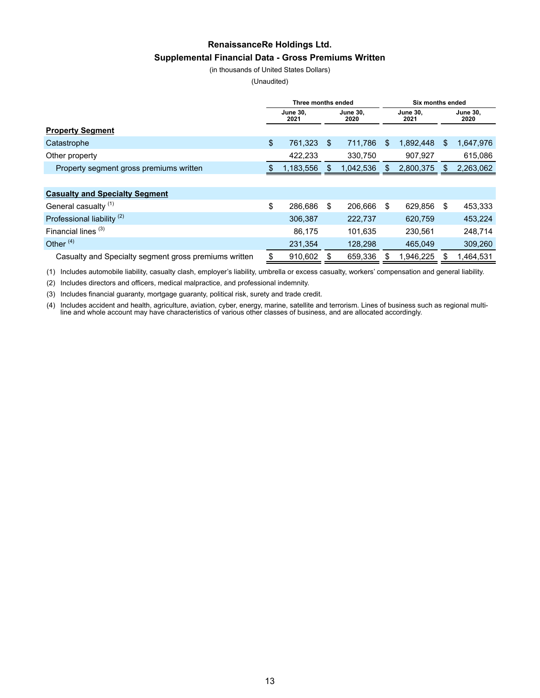# **RenaissanceRe Holdings Ltd. Supplemental Financial Data - Gross Premiums Written**

(in thousands of United States Dollars)

(Unaudited)

|                                                       | Three months ended |                         |                         | Six months ended |    |                         |    |                         |
|-------------------------------------------------------|--------------------|-------------------------|-------------------------|------------------|----|-------------------------|----|-------------------------|
|                                                       |                    | <b>June 30.</b><br>2021 | <b>June 30.</b><br>2020 |                  |    | <b>June 30.</b><br>2021 |    | <b>June 30.</b><br>2020 |
| <b>Property Segment</b>                               |                    |                         |                         |                  |    |                         |    |                         |
| Catastrophe                                           | \$                 | 761,323                 | \$                      | 711.786          | \$ | 1,892,448               | \$ | 1,647,976               |
| Other property                                        |                    | 422,233                 |                         | 330,750          |    | 907,927                 |    | 615,086                 |
| Property segment gross premiums written               |                    | 1,183,556               | \$                      | 1,042,536        | S  | 2,800,375               | \$ | 2,263,062               |
|                                                       |                    |                         |                         |                  |    |                         |    |                         |
| <b>Casualty and Specialty Segment</b>                 |                    |                         |                         |                  |    |                         |    |                         |
| General casualty <sup>(1)</sup>                       | \$                 | 286.686                 | \$                      | 206.666          | \$ | 629.856                 | \$ | 453,333                 |
| Professional liability <sup>(2)</sup>                 |                    | 306.387                 |                         | 222,737          |    | 620,759                 |    | 453,224                 |
| Financial lines $(3)$                                 |                    | 86,175                  |                         | 101,635          |    | 230.561                 |    | 248,714                 |
| Other $(4)$                                           |                    | 231,354                 |                         | 128,298          |    | 465,049                 |    | 309,260                 |
| Casualty and Specialty segment gross premiums written |                    | 910,602                 |                         | 659,336          |    | 1,946,225               |    | 1,464,531               |

(1) Includes automobile liability, casualty clash, employer's liability, umbrella or excess casualty, workers' compensation and general liability.

(2) Includes directors and officers, medical malpractice, and professional indemnity.

(3) Includes financial guaranty, mortgage guaranty, political risk, surety and trade credit.

(4) Includes accident and health, agriculture, aviation, cyber, energy, marine, satellite and terrorism. Lines of business such as regional multiline and whole account may have characteristics of various other classes of business, and are allocated accordingly.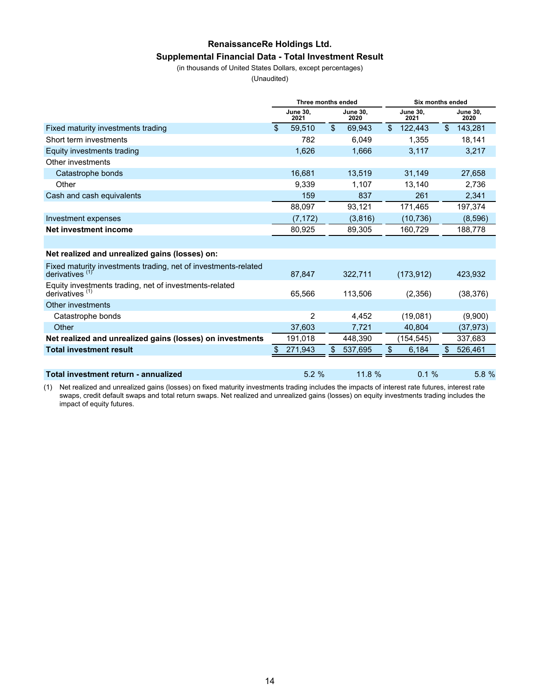# **RenaissanceRe Holdings Ltd. Supplemental Financial Data - Total Investment Result**

(in thousands of United States Dollars, except percentages)

(Unaudited)

|                                                                                     | Three months ended |                         |                | Six months ended        |                         |            |    |                         |
|-------------------------------------------------------------------------------------|--------------------|-------------------------|----------------|-------------------------|-------------------------|------------|----|-------------------------|
|                                                                                     |                    | <b>June 30,</b><br>2021 |                | <b>June 30,</b><br>2020 | <b>June 30,</b><br>2021 |            |    | <b>June 30,</b><br>2020 |
| Fixed maturity investments trading                                                  | $\mathfrak{L}$     | 59.510                  | $\mathfrak{S}$ | 69,943                  | \$                      | 122,443    | \$ | 143,281                 |
| Short term investments                                                              |                    | 782                     |                | 6.049                   |                         | 1,355      |    | 18,141                  |
| Equity investments trading                                                          |                    | 1,626                   |                | 1,666                   |                         | 3,117      |    | 3,217                   |
| Other investments                                                                   |                    |                         |                |                         |                         |            |    |                         |
| Catastrophe bonds                                                                   |                    | 16,681                  |                | 13,519                  |                         | 31,149     |    | 27,658                  |
| Other                                                                               |                    | 9,339                   |                | 1.107                   |                         | 13,140     |    | 2,736                   |
| Cash and cash equivalents                                                           |                    | 159                     |                | 837                     |                         | 261        |    | 2,341                   |
|                                                                                     |                    | 88,097                  |                | 93,121                  |                         | 171,465    |    | 197,374                 |
| Investment expenses                                                                 |                    | (7, 172)                |                | (3,816)                 |                         | (10, 736)  |    | (8,596)                 |
| Net investment income                                                               |                    | 80,925                  |                | 89,305                  |                         | 160,729    |    | 188,778                 |
|                                                                                     |                    |                         |                |                         |                         |            |    |                         |
| Net realized and unrealized gains (losses) on:                                      |                    |                         |                |                         |                         |            |    |                         |
| Fixed maturity investments trading, net of investments-related<br>derivatives $(1)$ |                    | 87,847                  |                | 322,711                 |                         | (173, 912) |    | 423,932                 |
| Equity investments trading, net of investments-related<br>derivatives $(1)$         |                    | 65,566                  |                | 113,506                 |                         | (2,356)    |    | (38, 376)               |
| Other investments                                                                   |                    |                         |                |                         |                         |            |    |                         |
| Catastrophe bonds                                                                   |                    | 2                       |                | 4,452                   |                         | (19,081)   |    | (9,900)                 |
| Other                                                                               |                    | 37.603                  |                | 7,721                   |                         | 40,804     |    | (37, 973)               |
| Net realized and unrealized gains (losses) on investments                           |                    | 191,018                 |                | 448,390                 |                         | (154, 545) |    | 337,683                 |
| <b>Total investment result</b>                                                      | \$                 | 271,943                 | \$             | 537,695                 | \$                      | 6,184      | \$ | 526,461                 |
|                                                                                     |                    |                         |                |                         |                         |            |    |                         |
| Total investment return - annualized                                                |                    | 5.2%                    |                | 11.8 %                  |                         | 0.1%       |    | 5.8%                    |

(1) Net realized and unrealized gains (losses) on fixed maturity investments trading includes the impacts of interest rate futures, interest rate swaps, credit default swaps and total return swaps. Net realized and unrealized gains (losses) on equity investments trading includes the impact of equity futures.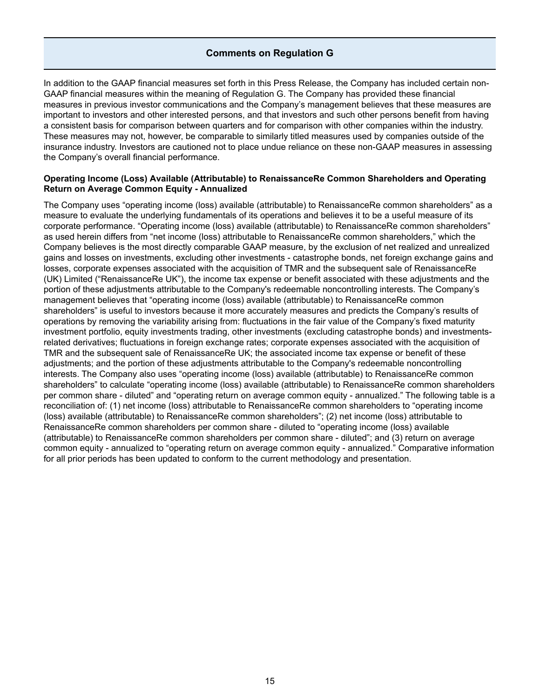#### **Comments on Regulation G**

In addition to the GAAP financial measures set forth in this Press Release, the Company has included certain non-GAAP financial measures within the meaning of Regulation G. The Company has provided these financial measures in previous investor communications and the Company's management believes that these measures are important to investors and other interested persons, and that investors and such other persons benefit from having a consistent basis for comparison between quarters and for comparison with other companies within the industry. These measures may not, however, be comparable to similarly titled measures used by companies outside of the insurance industry. Investors are cautioned not to place undue reliance on these non-GAAP measures in assessing the Company's overall financial performance.

#### **Operating Income (Loss) Available (Attributable) to RenaissanceRe Common Shareholders and Operating Return on Average Common Equity - Annualized**

The Company uses "operating income (loss) available (attributable) to RenaissanceRe common shareholders" as a measure to evaluate the underlying fundamentals of its operations and believes it to be a useful measure of its corporate performance. "Operating income (loss) available (attributable) to RenaissanceRe common shareholders" as used herein differs from "net income (loss) attributable to RenaissanceRe common shareholders," which the Company believes is the most directly comparable GAAP measure, by the exclusion of net realized and unrealized gains and losses on investments, excluding other investments - catastrophe bonds, net foreign exchange gains and losses, corporate expenses associated with the acquisition of TMR and the subsequent sale of RenaissanceRe (UK) Limited ("RenaissanceRe UK"), the income tax expense or benefit associated with these adjustments and the portion of these adjustments attributable to the Company's redeemable noncontrolling interests. The Company's management believes that "operating income (loss) available (attributable) to RenaissanceRe common shareholders" is useful to investors because it more accurately measures and predicts the Company's results of operations by removing the variability arising from: fluctuations in the fair value of the Company's fixed maturity investment portfolio, equity investments trading, other investments (excluding catastrophe bonds) and investmentsrelated derivatives; fluctuations in foreign exchange rates; corporate expenses associated with the acquisition of TMR and the subsequent sale of RenaissanceRe UK; the associated income tax expense or benefit of these adjustments; and the portion of these adjustments attributable to the Company's redeemable noncontrolling interests. The Company also uses "operating income (loss) available (attributable) to RenaissanceRe common shareholders" to calculate "operating income (loss) available (attributable) to RenaissanceRe common shareholders per common share - diluted" and "operating return on average common equity - annualized." The following table is a reconciliation of: (1) net income (loss) attributable to RenaissanceRe common shareholders to "operating income (loss) available (attributable) to RenaissanceRe common shareholders"; (2) net income (loss) attributable to RenaissanceRe common shareholders per common share - diluted to "operating income (loss) available (attributable) to RenaissanceRe common shareholders per common share - diluted"; and (3) return on average common equity - annualized to "operating return on average common equity - annualized." Comparative information for all prior periods has been updated to conform to the current methodology and presentation.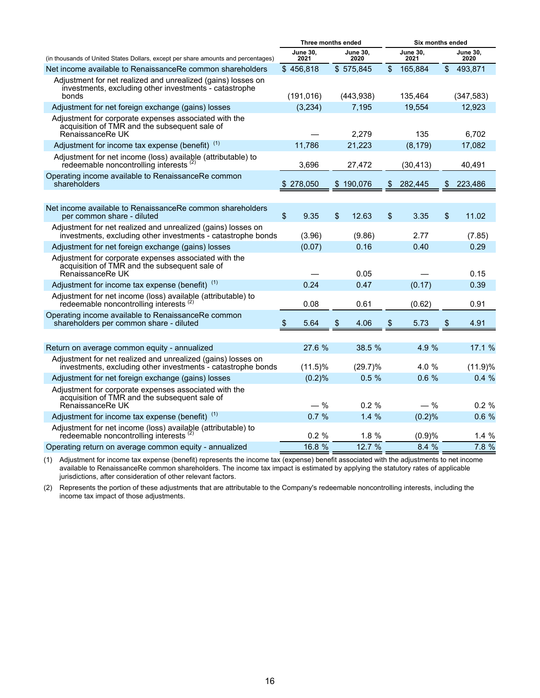|                                                                                                                                 | Three months ended      |            |    |                  | <b>Six months ended</b> |                  |  |
|---------------------------------------------------------------------------------------------------------------------------------|-------------------------|------------|----|------------------|-------------------------|------------------|--|
| (in thousands of United States Dollars, except per share amounts and percentages)                                               | <b>June 30,</b><br>2021 |            |    | June 30,<br>2020 | <b>June 30,</b><br>2021 | June 30,<br>2020 |  |
| Net income available to RenaissanceRe common shareholders                                                                       | \$456,818               |            |    | \$575,845        | \$<br>165,884           | \$<br>493,871    |  |
| Adjustment for net realized and unrealized (gains) losses on<br>investments, excluding other investments - catastrophe<br>bonds | (191, 016)              |            |    | (443,938)        | 135,464                 | (347, 583)       |  |
| Adjustment for net foreign exchange (gains) losses                                                                              | (3,234)                 |            |    | 7,195            | 19,554                  | 12,923           |  |
| Adjustment for corporate expenses associated with the<br>acquisition of TMR and the subsequent sale of<br>RenaissanceRe UK      |                         |            |    | 2,279            | 135                     | 6,702            |  |
| Adjustment for income tax expense (benefit) <sup>(1)</sup>                                                                      | 11,786                  |            |    | 21,223           | (8, 179)                | 17,082           |  |
| Adjustment for net income (loss) available (attributable) to<br>redeemable noncontrolling interests <sup>(2)</sup>              | 3,696                   |            |    | 27,472           | (30, 413)               | 40,491           |  |
| Operating income available to RenaissanceRe common<br>shareholders                                                              | \$278,050               |            |    | \$190,076        | \$<br>282,445           | \$<br>223,486    |  |
|                                                                                                                                 |                         |            |    |                  |                         |                  |  |
| Net income available to RenaissanceRe common shareholders<br>per common share - diluted                                         | \$<br>9.35              |            | \$ | 12.63            | \$<br>3.35              | \$<br>11.02      |  |
| Adjustment for net realized and unrealized (gains) losses on<br>investments, excluding other investments - catastrophe bonds    | (3.96)                  |            |    | (9.86)           | 2.77                    | (7.85)           |  |
| Adjustment for net foreign exchange (gains) losses                                                                              | (0.07)                  |            |    | 0.16             | 0.40                    | 0.29             |  |
| Adjustment for corporate expenses associated with the<br>acquisition of TMR and the subsequent sale of<br>RenaissanceRe UK      |                         |            |    | 0.05             |                         | 0.15             |  |
| Adjustment for income tax expense (benefit) (1)                                                                                 | 0.24                    |            |    | 0.47             | (0.17)                  | 0.39             |  |
| Adjustment for net income (loss) available (attributable) to<br>redeemable noncontrolling interests <sup>(2)</sup>              | 0.08                    |            |    | 0.61             | (0.62)                  | 0.91             |  |
| Operating income available to RenaissanceRe common<br>shareholders per common share - diluted                                   | 5.64<br>\$              |            | \$ | 4.06             | \$<br>5.73              | \$<br>4.91       |  |
|                                                                                                                                 |                         |            |    |                  |                         |                  |  |
| Return on average common equity - annualized                                                                                    |                         | 27.6 %     |    | 38.5 %           | 4.9 %                   | 17.1 %           |  |
| Adjustment for net realized and unrealized (gains) losses on<br>investments, excluding other investments - catastrophe bonds    |                         | $(11.5)\%$ |    | $(29.7)\%$       | 4.0%                    | (11.9)%          |  |
| Adjustment for net foreign exchange (gains) losses                                                                              |                         | (0.2)%     |    | 0.5%             | 0.6%                    | 0.4%             |  |
| Adjustment for corporate expenses associated with the<br>acquisition of TMR and the subsequent sale of<br>RenaissanceRe UK      |                         | $-$ %      |    | $0.2 \%$         | $-$ %                   | 0.2%             |  |
| Adjustment for income tax expense (benefit) (1)                                                                                 |                         | 0.7%       |    | 1.4%             | (0.2)%                  | 0.6%             |  |
| Adjustment for net income (loss) available (attributable) to<br>redeemable noncontrolling interests <sup>(2)</sup>              |                         | 0.2%       |    | 1.8%             | (0.9)%                  | 1.4%             |  |
| Operating return on average common equity - annualized                                                                          |                         | 16.8 %     |    | 12.7 %           | 8.4 %                   | 7.8 %            |  |

(1) Adjustment for income tax expense (benefit) represents the income tax (expense) benefit associated with the adjustments to net income available to RenaissanceRe common shareholders. The income tax impact is estimated by applying the statutory rates of applicable jurisdictions, after consideration of other relevant factors.

(2) Represents the portion of these adjustments that are attributable to the Company's redeemable noncontrolling interests, including the income tax impact of those adjustments.